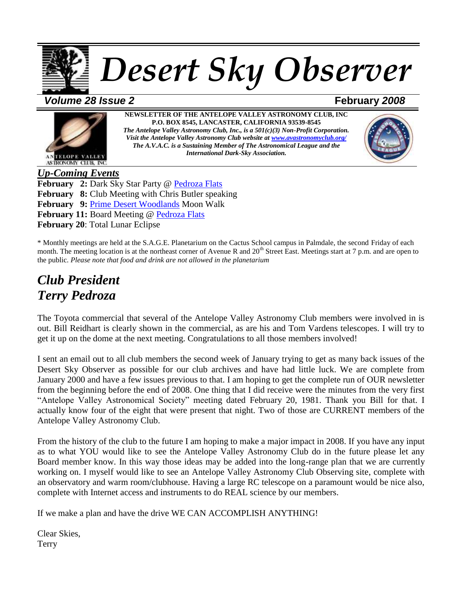

*Volume 28 Issue 2* **February** *2008*



**NEWSLETTER OF THE ANTELOPE VALLEY ASTRONOMY CLUB, INC P.O. BOX 8545, LANCASTER, CALIFORNIA 93539-8545** *The Antelope Valley Astronomy Club, Inc., is a 501(c)(3) Non-Profit Corporation. Visit the Antelope Valley Astronomy Club website at [www.avastronomyclub.org/](http://www.avastronomyclub.org/) The A.V.A.C. is a Sustaining Member of The Astronomical League and the International Dark-Sky Association.*



*Up-Coming Events* **February 2:** Dark Sky Star Party @ [Pedroza Flats](http://maps.google.com/maps?q=34+46%27+34%22+N%2C+118+17%27+18.6+W+%28Terry%27s+House%2C+8816+W.+Ave+D%2C+Lancaster+CA%29&hl=en) **February 8:** Club Meeting with Chris Butler speaking **February 9:** [Prime Desert Woodlands](http://www.google.com/calendar/event?eid=MzczNm5zN2VxcGxhMG5qa3NobWI2ZG9hMTggd2VibWFzdGVyQGF2YXN0cm9ub215Y2x1Yi5vcmc&ctz=America/Los_Angeles) Moon Walk **February 11:** Board Meeting @ [Pedroza Flats](http://maps.google.com/maps?q=34+46%27+34%22+N%2C+118+17%27+18.6+W+%28Terry%27s+House%2C+8816+W.+Ave+D%2C+Lancaster+CA%29&hl=en) **February 20**: Total Lunar Eclipse

\* Monthly meetings are held at the S.A.G.E. Planetarium on the Cactus School campus in Palmdale, the second Friday of each month. The meeting location is at the northeast corner of Avenue R and  $20<sup>th</sup>$  Street East. Meetings start at 7 p.m. and are open to the public. *Please note that food and drink are not allowed in the planetarium*

# *Club President Terry Pedroza*

The Toyota commercial that several of the Antelope Valley Astronomy Club members were involved in is out. Bill Reidhart is clearly shown in the commercial, as are his and Tom Vardens telescopes. I will try to get it up on the dome at the next meeting. Congratulations to all those members involved!

I sent an email out to all club members the second week of January trying to get as many back issues of the Desert Sky Observer as possible for our club archives and have had little luck. We are complete from January 2000 and have a few issues previous to that. I am hoping to get the complete run of OUR newsletter from the beginning before the end of 2008. One thing that I did receive were the minutes from the very first "Antelope Valley Astronomical Society" meeting dated February 20, 1981. Thank you Bill for that. I actually know four of the eight that were present that night. Two of those are CURRENT members of the Antelope Valley Astronomy Club.

From the history of the club to the future I am hoping to make a major impact in 2008. If you have any input as to what YOU would like to see the Antelope Valley Astronomy Club do in the future please let any Board member know. In this way those ideas may be added into the long-range plan that we are currently working on. I myself would like to see an Antelope Valley Astronomy Club Observing site, complete with an observatory and warm room/clubhouse. Having a large RC telescope on a paramount would be nice also, complete with Internet access and instruments to do REAL science by our members.

If we make a plan and have the drive WE CAN ACCOMPLISH ANYTHING!

Clear Skies, **Terry**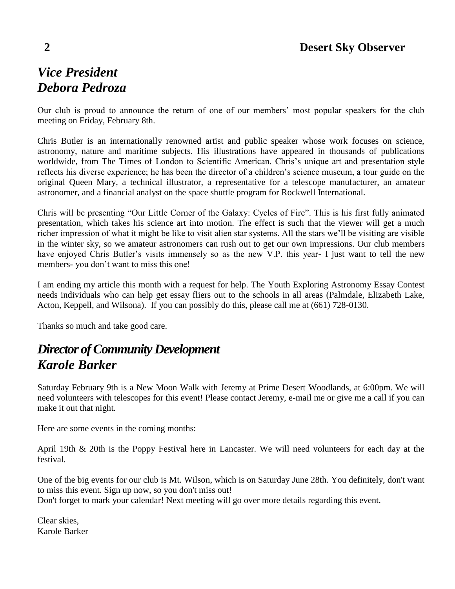# *Vice President Debora Pedroza*

Our club is proud to announce the return of one of our members' most popular speakers for the club meeting on Friday, February 8th.

Chris Butler is an internationally renowned artist and public speaker whose work focuses on science, astronomy, nature and maritime subjects. His illustrations have appeared in thousands of publications worldwide, from The Times of London to Scientific American. Chris's unique art and presentation style reflects his diverse experience; he has been the director of a children's science museum, a tour guide on the original Queen Mary, a technical illustrator, a representative for a telescope manufacturer, an amateur astronomer, and a financial analyst on the space shuttle program for Rockwell International.

Chris will be presenting "Our Little Corner of the Galaxy: Cycles of Fire". This is his first fully animated presentation, which takes his science art into motion. The effect is such that the viewer will get a much richer impression of what it might be like to visit alien star systems. All the stars we'll be visiting are visible in the winter sky, so we amateur astronomers can rush out to get our own impressions. Our club members have enjoyed Chris Butler's visits immensely so as the new V.P. this year- I just want to tell the new members- you don't want to miss this one!

I am ending my article this month with a request for help. The Youth Exploring Astronomy Essay Contest needs individuals who can help get essay fliers out to the schools in all areas (Palmdale, Elizabeth Lake, Acton, Keppell, and Wilsona). If you can possibly do this, please call me at (661) 728-0130.

Thanks so much and take good care.

# *Director of Community Development Karole Barker*

Saturday February 9th is a New Moon Walk with Jeremy at Prime Desert Woodlands, at 6:00pm. We will need volunteers with telescopes for this event! Please contact Jeremy, e-mail me or give me a call if you can make it out that night.

Here are some events in the coming months:

April 19th & 20th is the Poppy Festival here in Lancaster. We will need volunteers for each day at the festival.

One of the big events for our club is Mt. Wilson, which is on Saturday June 28th. You definitely, don't want to miss this event. Sign up now, so you don't miss out! Don't forget to mark your calendar! Next meeting will go over more details regarding this event.

Clear skies, Karole Barker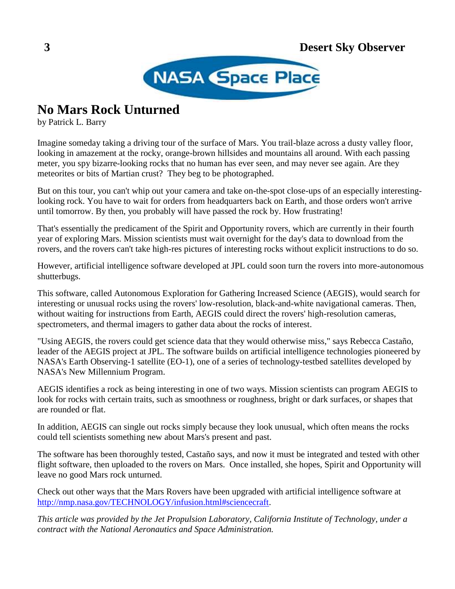

# **No Mars Rock Unturned**

by Patrick L. Barry

Imagine someday taking a driving tour of the surface of Mars. You trail-blaze across a dusty valley floor, looking in amazement at the rocky, orange-brown hillsides and mountains all around. With each passing meter, you spy bizarre-looking rocks that no human has ever seen, and may never see again. Are they meteorites or bits of Martian crust? They beg to be photographed.

But on this tour, you can't whip out your camera and take on-the-spot close-ups of an especially interestinglooking rock. You have to wait for orders from headquarters back on Earth, and those orders won't arrive until tomorrow. By then, you probably will have passed the rock by. How frustrating!

That's essentially the predicament of the Spirit and Opportunity rovers, which are currently in their fourth year of exploring Mars. Mission scientists must wait overnight for the day's data to download from the rovers, and the rovers can't take high-res pictures of interesting rocks without explicit instructions to do so.

However, artificial intelligence software developed at JPL could soon turn the rovers into more-autonomous shutterbugs.

This software, called Autonomous Exploration for Gathering Increased Science (AEGIS), would search for interesting or unusual rocks using the rovers' low-resolution, black-and-white navigational cameras. Then, without waiting for instructions from Earth, AEGIS could direct the rovers' high-resolution cameras, spectrometers, and thermal imagers to gather data about the rocks of interest.

"Using AEGIS, the rovers could get science data that they would otherwise miss," says Rebecca Castaño, leader of the AEGIS project at JPL. The software builds on artificial intelligence technologies pioneered by NASA's Earth Observing-1 satellite (EO-1), one of a series of technology-testbed satellites developed by NASA's New Millennium Program.

AEGIS identifies a rock as being interesting in one of two ways. Mission scientists can program AEGIS to look for rocks with certain traits, such as smoothness or roughness, bright or dark surfaces, or shapes that are rounded or flat.

In addition, AEGIS can single out rocks simply because they look unusual, which often means the rocks could tell scientists something new about Mars's present and past.

The software has been thoroughly tested, Castaño says, and now it must be integrated and tested with other flight software, then uploaded to the rovers on Mars. Once installed, she hopes, Spirit and Opportunity will leave no good Mars rock unturned.

Check out other ways that the Mars Rovers have been upgraded with artificial intelligence software at [http://nmp.nasa.gov/TECHNOLOGY/infusion.html#sciencecraft.](http://nmp.nasa.gov/TECHNOLOGY/infusion.html%23sciencecraft)

*This article was provided by the Jet Propulsion Laboratory, California Institute of Technology, under a contract with the National Aeronautics and Space Administration.*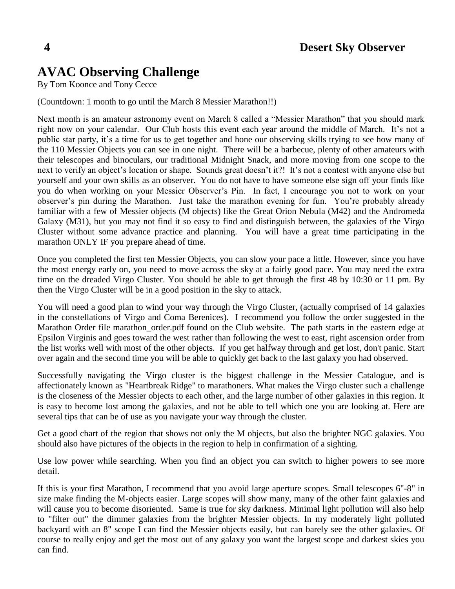# **AVAC Observing Challenge**

By Tom Koonce and Tony Cecce

(Countdown: 1 month to go until the March 8 Messier Marathon!!)

Next month is an amateur astronomy event on March 8 called a "Messier Marathon" that you should mark right now on your calendar. Our Club hosts this event each year around the middle of March. It's not a public star party, it's a time for us to get together and hone our observing skills trying to see how many of the 110 Messier Objects you can see in one night. There will be a barbecue, plenty of other amateurs with their telescopes and binoculars, our traditional Midnight Snack, and more moving from one scope to the next to verify an object's location or shape. Sounds great doesn't it?! It's not a contest with anyone else but yourself and your own skills as an observer. You do not have to have someone else sign off your finds like you do when working on your Messier Observer's Pin. In fact, I encourage you not to work on your observer's pin during the Marathon. Just take the marathon evening for fun. You're probably already familiar with a few of Messier objects (M objects) like the Great Orion Nebula (M42) and the Andromeda Galaxy (M31), but you may not find it so easy to find and distinguish between, the galaxies of the Virgo Cluster without some advance practice and planning. You will have a great time participating in the marathon ONLY IF you prepare ahead of time.

Once you completed the first ten Messier Objects, you can slow your pace a little. However, since you have the most energy early on, you need to move across the sky at a fairly good pace. You may need the extra time on the dreaded Virgo Cluster. You should be able to get through the first 48 by 10:30 or 11 pm. By then the Virgo Cluster will be in a good position in the sky to attack.

You will need a good plan to wind your way through the Virgo Cluster, (actually comprised of 14 galaxies in the constellations of Virgo and Coma Berenices). I recommend you follow the order suggested in the Marathon Order file marathon\_order.pdf found on the Club website. The path starts in the eastern edge at Epsilon Virginis and goes toward the west rather than following the west to east, right ascension order from the list works well with most of the other objects. If you get halfway through and get lost, don't panic. Start over again and the second time you will be able to quickly get back to the last galaxy you had observed.

Successfully navigating the Virgo cluster is the biggest challenge in the Messier Catalogue, and is affectionately known as "Heartbreak Ridge" to marathoners. What makes the Virgo cluster such a challenge is the closeness of the Messier objects to each other, and the large number of other galaxies in this region. It is easy to become lost among the galaxies, and not be able to tell which one you are looking at. Here are several tips that can be of use as you navigate your way through the cluster.

Get a good chart of the region that shows not only the M objects, but also the brighter NGC galaxies. You should also have pictures of the objects in the region to help in confirmation of a sighting.

Use low power while searching. When you find an object you can switch to higher powers to see more detail.

If this is your first Marathon, I recommend that you avoid large aperture scopes. Small telescopes 6"-8" in size make finding the M-objects easier. Large scopes will show many, many of the other faint galaxies and will cause you to become disoriented. Same is true for sky darkness. Minimal light pollution will also help to "filter out" the dimmer galaxies from the brighter Messier objects. In my moderately light polluted backyard with an 8" scope I can find the Messier objects easily, but can barely see the other galaxies. Of course to really enjoy and get the most out of any galaxy you want the largest scope and darkest skies you can find.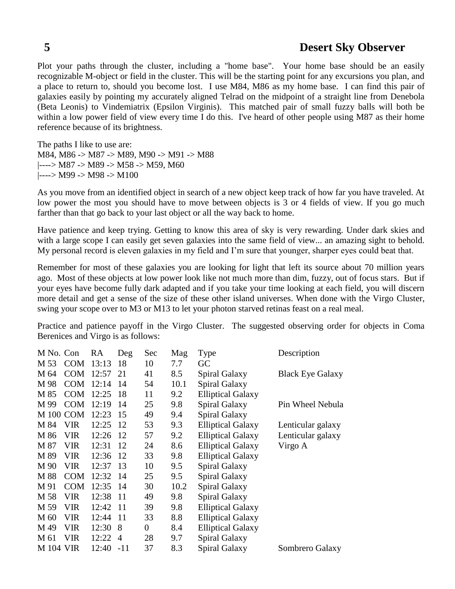## **5 Desert Sky Observer**

Plot your paths through the cluster, including a "home base". Your home base should be an easily recognizable M-object or field in the cluster. This will be the starting point for any excursions you plan, and a place to return to, should you become lost. I use M84, M86 as my home base. I can find this pair of galaxies easily by pointing my accurately aligned Telrad on the midpoint of a straight line from Denebola (Beta Leonis) to Vindemiatrix (Epsilon Virginis). This matched pair of small fuzzy balls will both be within a low power field of view every time I do this. I've heard of other people using M87 as their home reference because of its brightness.

The paths I like to use are: M84, M86 -> M87 -> M89, M90 -> M91 -> M88  $|---> M87$  -> M89 -> M58 -> M59, M60 |----> M99 -> M98 -> M100

As you move from an identified object in search of a new object keep track of how far you have traveled. At low power the most you should have to move between objects is 3 or 4 fields of view. If you go much farther than that go back to your last object or all the way back to home.

Have patience and keep trying. Getting to know this area of sky is very rewarding. Under dark skies and with a large scope I can easily get seven galaxies into the same field of view... an amazing sight to behold. My personal record is eleven galaxies in my field and I'm sure that younger, sharper eyes could beat that.

Remember for most of these galaxies you are looking for light that left its source about 70 million years ago. Most of these objects at low power look like not much more than dim, fuzzy, out of focus stars. But if your eyes have become fully dark adapted and if you take your time looking at each field, you will discern more detail and get a sense of the size of these other island universes. When done with the Virgo Cluster, swing your scope over to M3 or M13 to let your photon starved retinas feast on a real meal.

Practice and patience payoff in the Virgo Cluster. The suggested observing order for objects in Coma Berenices and Virgo is as follows:

| M No. Con        |            | RA    | Deg            | Sec              | Mag  | <b>Type</b>              | Description             |
|------------------|------------|-------|----------------|------------------|------|--------------------------|-------------------------|
| M 53             | <b>COM</b> | 13:13 | 18             | 10               | 7.7  | GC                       |                         |
| M 64             | <b>COM</b> | 12:57 | 21             | 41               | 8.5  | Spiral Galaxy            | <b>Black Eye Galaxy</b> |
| M 98             | <b>COM</b> | 12:14 | 14             | 54               | 10.1 | Spiral Galaxy            |                         |
| M 85             | <b>COM</b> | 12:25 | 18             | 11               | 9.2  | <b>Elliptical Galaxy</b> |                         |
| M 99             | <b>COM</b> | 12:19 | 14             | 25               | 9.8  | Spiral Galaxy            | Pin Wheel Nebula        |
| <b>M100 COM</b>  |            | 12:23 | 15             | 49               | 9.4  | Spiral Galaxy            |                         |
| M 84             | <b>VIR</b> | 12:25 | 12             | 53               | 9.3  | <b>Elliptical Galaxy</b> | Lenticular galaxy       |
| M 86             | <b>VIR</b> | 12:26 | 12             | 57               | 9.2  | <b>Elliptical Galaxy</b> | Lenticular galaxy       |
| M 87             | <b>VIR</b> | 12:31 | 12             | 24               | 8.6  | <b>Elliptical Galaxy</b> | Virgo A                 |
| M 89             | VIR        | 12:36 | 12             | 33               | 9.8  | <b>Elliptical Galaxy</b> |                         |
| M 90             | VIR        | 12:37 | 13             | 10               | 9.5  | Spiral Galaxy            |                         |
| M 88             | <b>COM</b> | 12:32 | 14             | 25               | 9.5  | <b>Spiral Galaxy</b>     |                         |
| M 91             | <b>COM</b> | 12:35 | 14             | 30               | 10.2 | Spiral Galaxy            |                         |
| M 58             | <b>VIR</b> | 12:38 | 11             | 49               | 9.8  | Spiral Galaxy            |                         |
| M 59             | <b>VIR</b> | 12:42 | -11            | 39               | 9.8  | <b>Elliptical Galaxy</b> |                         |
| M 60             | <b>VIR</b> | 12:44 | 11             | 33               | 8.8  | <b>Elliptical Galaxy</b> |                         |
| M 49             | <b>VIR</b> | 12:30 | 8              | $\boldsymbol{0}$ | 8.4  | <b>Elliptical Galaxy</b> |                         |
| M 61             | VIR        | 12:22 | $\overline{4}$ | 28               | 9.7  | Spiral Galaxy            |                         |
| <b>M</b> 104 VIR |            | 12:40 | $-11$          | 37               | 8.3  | Spiral Galaxy            | Sombrero Galaxy         |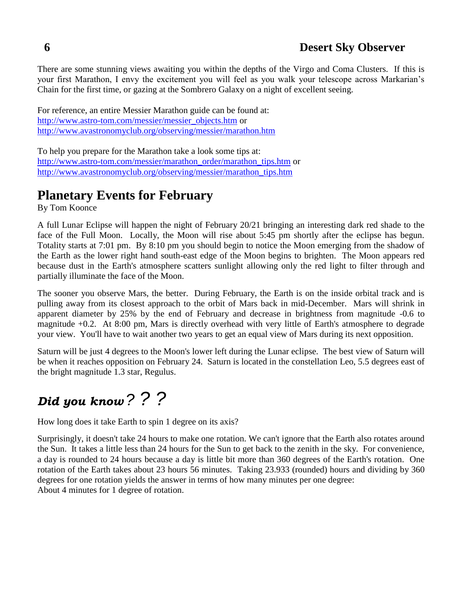There are some stunning views awaiting you within the depths of the Virgo and Coma Clusters. If this is your first Marathon, I envy the excitement you will feel as you walk your telescope across Markarian's Chain for the first time, or gazing at the Sombrero Galaxy on a night of excellent seeing.

For reference, an entire Messier Marathon guide can be found at: [http://www.astro-tom.com/messier/messier\\_objects.htm](http://www.astro-tom.com/messier/messier_objects.htm) or <http://www.avastronomyclub.org/observing/messier/marathon.htm>

To help you prepare for the Marathon take a look some tips at: [http://www.astro-tom.com/messier/marathon\\_order/marathon\\_tips.htm](http://www.astro-tom.com/messier/marathon_order/marathon_tips.htm) or [http://www.avastronomyclub.org/observing/messier/marathon\\_tips.htm](http://www.avastronomyclub.org/observing/messier/marathon_tips.htm)

# **Planetary Events for February**

By Tom Koonce

A full Lunar Eclipse will happen the night of February 20/21 bringing an interesting dark red shade to the face of the Full Moon. Locally, the Moon will rise about 5:45 pm shortly after the eclipse has begun. Totality starts at 7:01 pm. By 8:10 pm you should begin to notice the Moon emerging from the shadow of the Earth as the lower right hand south-east edge of the Moon begins to brighten. The Moon appears red because dust in the Earth's atmosphere scatters sunlight allowing only the red light to filter through and partially illuminate the face of the Moon.

The sooner you observe Mars, the better. During February, the Earth is on the inside orbital track and is pulling away from its closest approach to the orbit of Mars back in mid-December. Mars will shrink in apparent diameter by 25% by the end of February and decrease in brightness from magnitude -0.6 to magnitude +0.2. At 8:00 pm, Mars is directly overhead with very little of Earth's atmosphere to degrade your view. You'll have to wait another two years to get an equal view of Mars during its next opposition.

Saturn will be just 4 degrees to the Moon's lower left during the Lunar eclipse. The best view of Saturn will be when it reaches opposition on February 24. Saturn is located in the constellation Leo, 5.5 degrees east of the bright magnitude 1.3 star, Regulus.

# *Did you know ? ? ?*

How long does it take Earth to spin 1 degree on its axis?

Surprisingly, it doesn't take 24 hours to make one rotation. We can't ignore that the Earth also rotates around the Sun. It takes a little less than 24 hours for the Sun to get back to the zenith in the sky. For convenience, a day is rounded to 24 hours because a day is little bit more than 360 degrees of the Earth's rotation. One rotation of the Earth takes about 23 hours 56 minutes. Taking 23.933 (rounded) hours and dividing by 360 degrees for one rotation yields the answer in terms of how many minutes per one degree: About 4 minutes for 1 degree of rotation.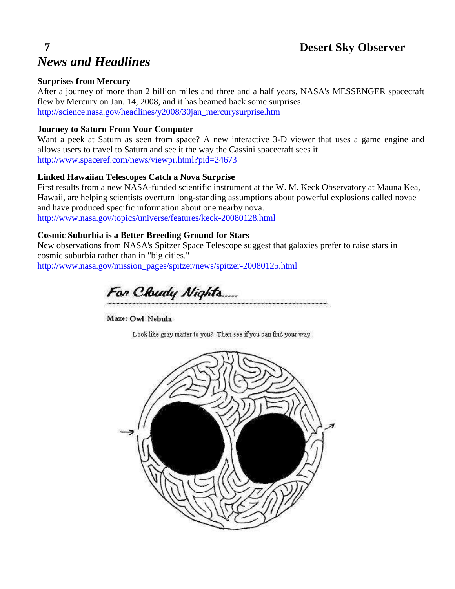## **7 Desert Sky Observer**

# *News and Headlines*

#### **Surprises from Mercury**

After a journey of more than 2 billion miles and three and a half years, NASA's MESSENGER spacecraft flew by Mercury on Jan. 14, 2008, and it has beamed back some surprises. [http://science.nasa.gov/headlines/y2008/30jan\\_mercurysurprise.htm](http://science.nasa.gov/headlines/y2008/30jan_mercurysurprise.htm)

#### **Journey to Saturn From Your Computer**

Want a peek at Saturn as seen from space? A new interactive 3-D viewer that uses a game engine and allows users to travel to Saturn and see it the way the Cassini spacecraft sees it <http://www.spaceref.com/news/viewpr.html?pid=24673>

### **Linked Hawaiian Telescopes Catch a Nova Surprise**

First results from a new NASA-funded scientific instrument at the W. M. Keck Observatory at Mauna Kea, Hawaii, are helping scientists overturn long-standing assumptions about powerful explosions called novae and have produced specific information about one nearby nova. <http://www.nasa.gov/topics/universe/features/keck-20080128.html>

#### **Cosmic Suburbia is a Better Breeding Ground for Stars**

New observations from NASA's Spitzer Space Telescope suggest that galaxies prefer to raise stars in cosmic suburbia rather than in "big cities."

[http://www.nasa.gov/mission\\_pages/spitzer/news/spitzer-20080125.html](http://www.nasa.gov/mission_pages/spitzer/news/spitzer-20080125.html)

For Cloudy Nights....

Maze: Owl Nebula

Look like gray matter to you? Then see if you can find your way.

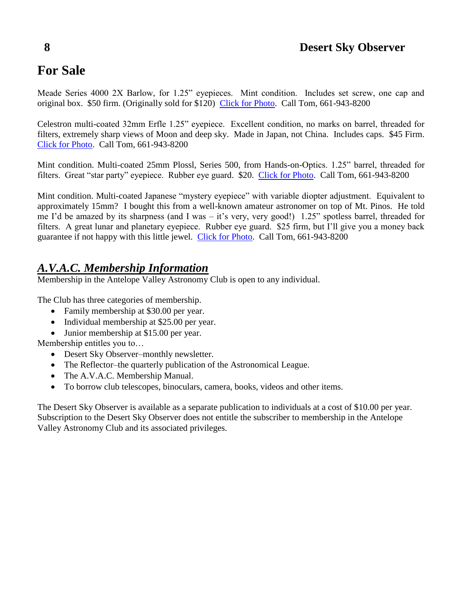# **8 Desert Sky Observer**

# **For Sale**

Meade Series 4000 2X Barlow, for 1.25" eyepieces. Mint condition. Includes set screw, one cap and original box. \$50 firm. (Originally sold for \$120) [Click for Photo.](http://www.avastronomyclub.org/graphics/for_sale/tk_meade4000_barlow.jpg) Call Tom, 661-943-8200

Celestron multi-coated 32mm Erfle 1.25" eyepiece. Excellent condition, no marks on barrel, threaded for filters, extremely sharp views of Moon and deep sky. Made in Japan, not China. Includes caps. \$45 Firm. [Click for Photo.](http://www.avastronomyclub.org/graphics/for_sale/tk_celestron_32mm.jpg) Call Tom, 661-943-8200

Mint condition. Multi-coated 25mm Plossl, Series 500, from Hands-on-Optics. 1.25" barrel, threaded for filters. Great "star party" eyepiece. Rubber eye guard. \$20. [Click for Photo.](http://www.avastronomyclub.org/graphics/for_sale/tk_ho_25mm.jpg) Call Tom, 661-943-8200

Mint condition. Multi-coated Japanese "mystery eyepiece" with variable diopter adjustment. Equivalent to approximately 15mm? I bought this from a well-known amateur astronomer on top of Mt. Pinos. He told me I'd be amazed by its sharpness (and I was – it's very, very good!) 1.25" spotless barrel, threaded for filters. A great lunar and planetary eyepiece. Rubber eye guard. \$25 firm, but I'll give you a money back guarantee if not happy with this little jewel. [Click for Photo.](http://www.avastronomyclub.org/graphics/for_sale/tk_mystery.jpg) Call Tom, 661-943-8200

# *A.V.A.C. Membership Information*

Membership in the Antelope Valley Astronomy Club is open to any individual.

The Club has three categories of membership.

- Family membership at \$30.00 per year.
- Individual membership at \$25.00 per year.
- Junior membership at \$15.00 per year.

Membership entitles you to…

- Desert Sky Observer–monthly newsletter.
- The Reflector–the quarterly publication of the Astronomical League.
- The A.V.A.C. Membership Manual.
- To borrow club telescopes, binoculars, camera, books, videos and other items.

The Desert Sky Observer is available as a separate publication to individuals at a cost of \$10.00 per year. Subscription to the Desert Sky Observer does not entitle the subscriber to membership in the Antelope Valley Astronomy Club and its associated privileges.